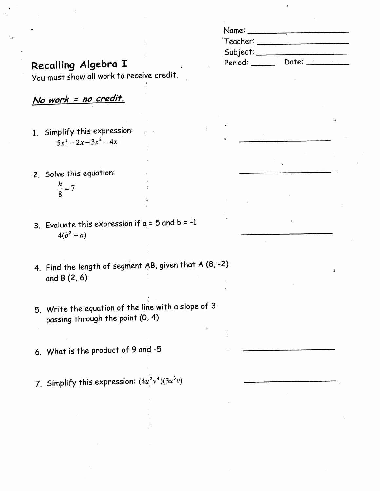| Name:    |       |  |
|----------|-------|--|
| Teacher: |       |  |
| Subject: |       |  |
| Period:  | Date: |  |

## Recalling Algebra I

You must show all work to receive credit.

No work = no credit.

- 1. Simplify this expression:  $5x^2-2x-3x^2-4x$
- 2. Solve this equation:  $\frac{h}{8} = 7$
- 3. Evaluate this expression if  $a = 5$  and  $b = -1$  $4(b^2 + a)$
- 4. Find the length of segment AB, given that A (8, -2) and  $B(2, 6)$
- 5. Write the equation of the line with a slope of 3 passing through the point (0, 4)
- 6. What is the product of 9 and -5
- 7. Simplify this expression:  $(4u^2v^4)(3u^3v)$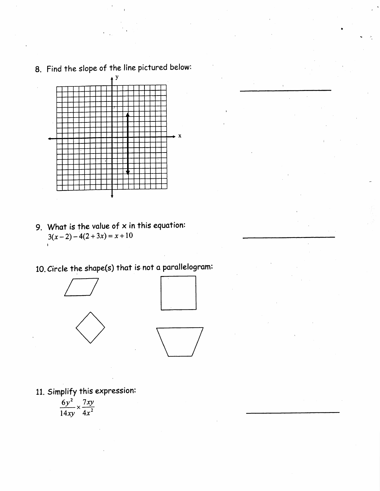

## 8. Find the slope of the line pictured below:

9. What is the value of  $x$  in this equation:  $3(x-2)-4(2+3x)=x+10$ 

10. Circle the shape(s) that is not a parallelogram:







11. Simplify this expression:

$$
\frac{6y^2}{14xy} \times \frac{7xy}{4x^2}
$$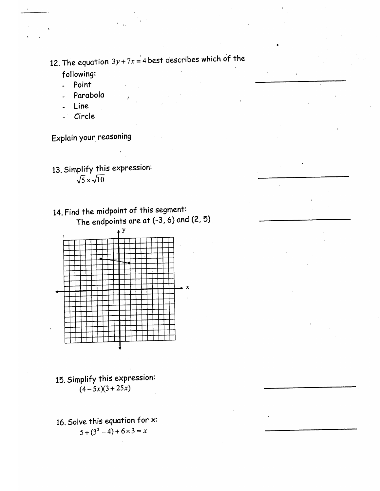12. The equation  $3y+7x=4$  best describes which of the

following:

- Point  $\ddot{\phantom{a}}$
- Parabola
- Line
- Circle

Explain your reasoning

- 13. Simplify this expression:  $\sqrt{5} \times \sqrt{10}$
- 14. Find the midpoint of this segment: The endpoints are at  $(-3, 6)$  and  $(2, 5)$



- 15. Simplify this expression:  $(4-5x)(3+25x)$
- 16. Solve this equation for  $x$ :  $5 + (3^2 - 4) + 6 \times 3 = x$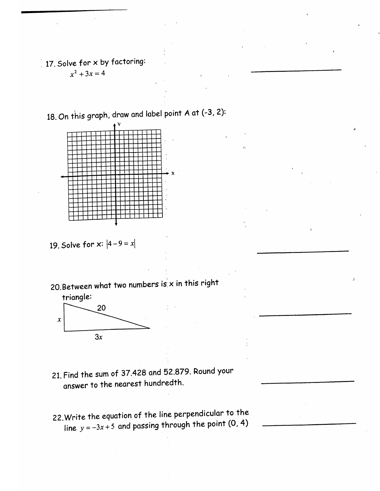$\frac{1}{2}$  17. Solve for x by factoring:

 $x^2 + 3x = 4$ 

18. On this graph, draw and label point A at (-3, 2):



19. Solve for  $x: |4-9=x|$ 

20. Between what two numbers is  $x$  in this right



- 21. Find the sum of 37.428 and 52.879. Round your answer to the nearest hundredth.
- 22. Write the equation of the line perpendicular to the line  $y = -3x + 5$  and passing through the point (0, 4)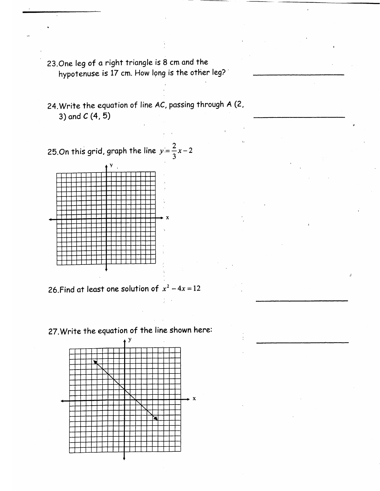- 23. One leg of a right triangle is 8 cm and the hypotenuse is 17 cm. How long is the other leg?
- 24. Write the equation of line AC, passing through A (2, 3) and  $C(4, 5)$

25.0n this grid, graph the line  $y = \frac{2}{3}x - 2$ 



26. Find at least one solution of  $x^2 - 4x = 12$ 

27. Write the equation of the line shown here: